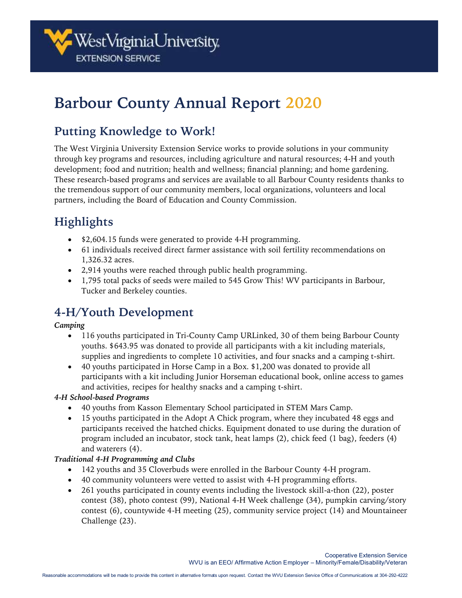

# **Barbour County Annual Report 2020**

# **Putting Knowledge to Work!**

The West Virginia University Extension Service works to provide solutions in your community through key programs and resources, including agriculture and natural resources; 4-H and youth development; food and nutrition; health and wellness; financial planning; and home gardening. These research-based programs and services are available to all Barbour County residents thanks to the tremendous support of our community members, local organizations, volunteers and local partners, including the Board of Education and County Commission.

# **Highlights**

- \$2,604.15 funds were generated to provide 4-H programming.
- 61 individuals received direct farmer assistance with soil fertility recommendations on 1,326.32 acres.
- 2,914 youths were reached through public health programming.
- 1,795 total packs of seeds were mailed to 545 Grow This! WV participants in Barbour, Tucker and Berkeley counties.

# **4-H/Youth Development**

#### *Camping*

- 116 youths participated in Tri-County Camp URLinked, 30 of them being Barbour County youths. \$643.95 was donated to provide all participants with a kit including materials, supplies and ingredients to complete 10 activities, and four snacks and a camping t-shirt.
- 40 youths participated in Horse Camp in a Box. \$1,200 was donated to provide all participants with a kit including Junior Horseman educational book, online access to games and activities, recipes for healthy snacks and a camping t-shirt.

#### *4-H School-based Programs*

- 40 youths from Kasson Elementary School participated in STEM Mars Camp.
- 15 youths participated in the Adopt A Chick program, where they incubated 48 eggs and participants received the hatched chicks. Equipment donated to use during the duration of program included an incubator, stock tank, heat lamps (2), chick feed (1 bag), feeders (4) and waterers (4).

#### *Traditional 4-H Programming and Clubs*

- 142 youths and 35 Cloverbuds were enrolled in the Barbour County 4-H program.
- 40 community volunteers were vetted to assist with 4-H programming efforts.
- 261 youths participated in county events including the livestock skill-a-thon (22), poster contest (38), photo contest (99), National 4-H Week challenge (34), pumpkin carving/story contest (6), countywide 4-H meeting (25), community service project (14) and Mountaineer Challenge (23).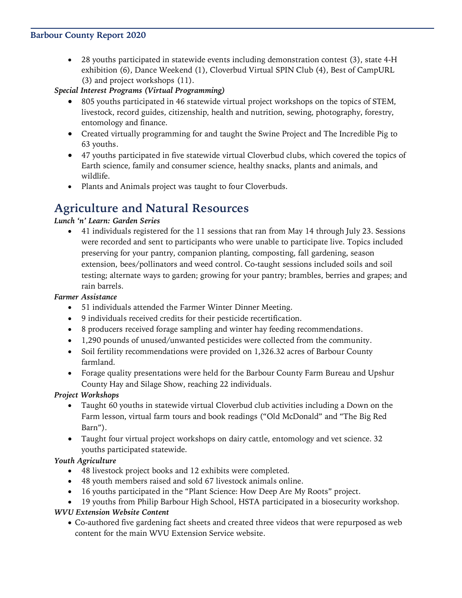#### **Barbour County Report 2020**

• 28 youths participated in statewide events including demonstration contest (3), state 4-H exhibition (6), Dance Weekend (1), Cloverbud Virtual SPIN Club (4), Best of CampURL (3) and project workshops (11).

*Special Interest Programs (Virtual Programming)*

- 805 youths participated in 46 statewide virtual project workshops on the topics of STEM, livestock, record guides, citizenship, health and nutrition, sewing, photography, forestry, entomology and finance.
- Created virtually programming for and taught the Swine Project and The Incredible Pig to 63 youths.
- 47 youths participated in five statewide virtual Cloverbud clubs, which covered the topics of Earth science, family and consumer science, healthy snacks, plants and animals, and wildlife.
- Plants and Animals project was taught to four Cloverbuds.

### **Agriculture and Natural Resources**

#### *Lunch 'n' Learn: Garden Series*

• 41 individuals registered for the 11 sessions that ran from May 14 through July 23. Sessions were recorded and sent to participants who were unable to participate live. Topics included preserving for your pantry, companion planting, composting, fall gardening, season extension, bees/pollinators and weed control. Co-taught sessions included soils and soil testing; alternate ways to garden; growing for your pantry; brambles, berries and grapes; and rain barrels.

#### *Farmer Assistance*

- 51 individuals attended the Farmer Winter Dinner Meeting.
- 9 individuals received credits for their pesticide recertification.
- 8 producers received forage sampling and winter hay feeding recommendations.
- 1,290 pounds of unused/unwanted pesticides were collected from the community.
- Soil fertility recommendations were provided on 1,326.32 acres of Barbour County farmland.
- Forage quality presentations were held for the Barbour County Farm Bureau and Upshur County Hay and Silage Show, reaching 22 individuals.

#### *Project Workshops*

- Taught 60 youths in statewide virtual Cloverbud club activities including a Down on the Farm lesson, virtual farm tours and book readings ("Old McDonald" and "The Big Red Barn").
- Taught four virtual project workshops on dairy cattle, entomology and vet science. 32 youths participated statewide.

#### *Youth Agriculture*

- 48 livestock project books and 12 exhibits were completed.
- 48 youth members raised and sold 67 livestock animals online.
- 16 youths participated in the "Plant Science: How Deep Are My Roots" project.
- 19 youths from Philip Barbour High School, HSTA participated in a biosecurity workshop.

#### *WVU Extension Website Content*

• Co-authored five gardening fact sheets and created three videos that were repurposed as web content for the main WVU Extension Service website.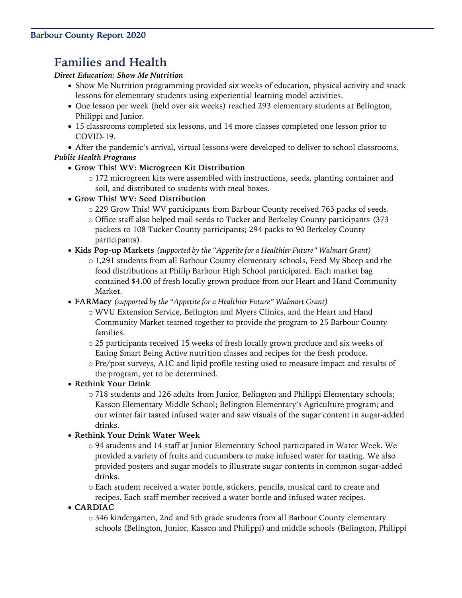# **Families and Health**

#### *Direct Education: Show Me Nutrition*

- Show Me Nutrition programming provided six weeks of education, physical activity and snack lessons for elementary students using experiential learning model activities.
- One lesson per week (held over six weeks) reached 293 elementary students at Belington, Philippi and Junior.
- 15 classrooms completed six lessons, and 14 more classes completed one lesson prior to COVID-19.
- After the pandemic's arrival, virtual lessons were developed to deliver to school classrooms. *Public Health Programs* 
	- **Grow This! WV: Microgreen Kit Distribution**
		- o 172 microgreen kits were assembled with instructions, seeds, planting container and soil, and distributed to students with meal boxes.
	- **Grow This! WV: Seed Distribution**
		- o 229 Grow This! WV participants from Barbour County received 763 packs of seeds.
		- o Office staff also helped mail seeds to Tucker and Berkeley County participants (373 packets to 108 Tucker County participants; 294 packs to 90 Berkeley County participants).
	- **Kids Pop-up Markets** *(supported by the "Appetite for a Healthier Future" Walmart Grant)*
		- o 1,291 students from all Barbour County elementary schools, Feed My Sheep and the food distributions at Philip Barbour High School participated. Each market bag contained \$4.00 of fresh locally grown produce from our Heart and Hand Community Market.
	- **FARMacy** *(supported by the "Appetite for a Healthier Future" Walmart Grant)*
		- o WVU Extension Service, Belington and Myers Clinics, and the Heart and Hand Community Market teamed together to provide the program to 25 Barbour County families.
		- o 25 participants received 15 weeks of fresh locally grown produce and six weeks of Eating Smart Being Active nutrition classes and recipes for the fresh produce.
		- o Pre/post surveys, A1C and lipid profile testing used to measure impact and results of the program, yet to be determined.
	- **Rethink Your Drink** 
		- o 718 students and 126 adults from Junior, Belington and Philippi Elementary schools; Kasson Elementary Middle School; Belington Elementary's Agriculture program; and our winter fair tasted infused water and saw visuals of the sugar content in sugar-added drinks.

#### • **Rethink Your Drink Water Week**

- o 94 students and 14 staff at Junior Elementary School participated in Water Week. We provided a variety of fruits and cucumbers to make infused water for tasting. We also provided posters and sugar models to illustrate sugar contents in common sugar-added drinks.
- o Each student received a water bottle, stickers, pencils, musical card to create and recipes. Each staff member received a water bottle and infused water recipes.
- **CARDIAC** 
	- o 346 kindergarten, 2nd and 5th grade students from all Barbour County elementary schools (Belington, Junior, Kasson and Philippi) and middle schools (Belington, Philippi